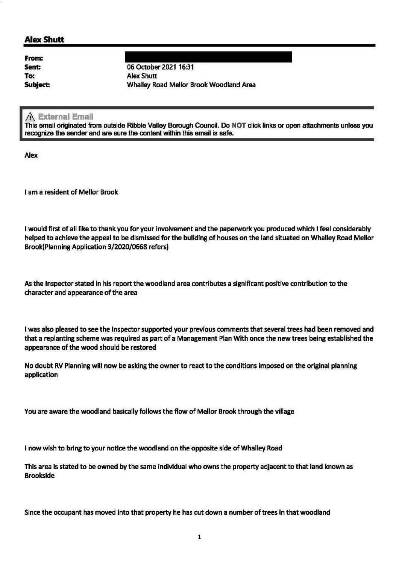## **Alex Shutt**

From: Sent: To: Subject:

06 October 2021 16:31 **Alex Shutt** Whalley Road Mellor Brook Woodland Area

## **External Email**

This email originated from outside Ribble Valley Borough Council. Do NOT click links or open attachments unless you recognize the sender and are sure the content within this email is safe.

Alex

I am a resident of Mellor Brook

I would first of all like to thank you for your involvement and the paperwork you produced which I feel considerably helped to achieve the appeal to be dismissed for the building of houses on the land situated on Whalley Road Mellor Brook(Planning Application 3/2020/0668 refers)

As the Inspector stated in his report the woodland area contributes a significant positive contribution to the character and appearance of the area

I was also pleased to see the Inspector supported your previous comments that several trees had been removed and that a replanting scheme was required as part of a Management Plan With once the new trees being established the appearance of the wood should be restored

No doubt RV Planning will now be asking the owner to react to the conditions imposed on the original planning application

You are aware the woodland basically follows the flow of Mellor Brook through the village

I now wish to bring to your notice the woodland on the opposite side of Whalley Road

This area is stated to be owned by the same individual who owns the property adjacent to that land known as **Brookside** 

Since the occupant has moved into that property he has cut down a number of trees in that woodland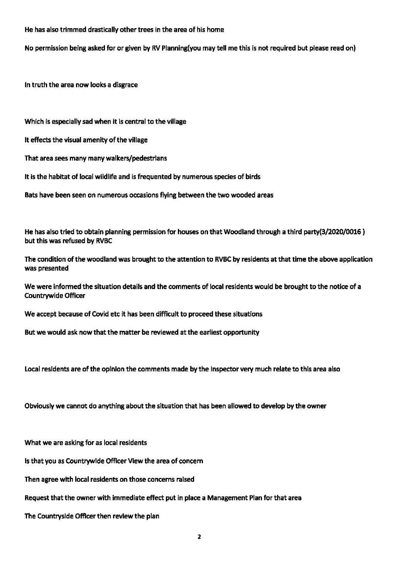He has also trimmed drastically other trees in the area of his home

No permission being asked for or given by RV Planning(you may tell me this is not required but please read on)

In truth the area now looks a disgrace

Which is especially sad when it is central to the village

It effects the visual amenity of the village

That area sees many many walkers/pedestrians

It is the habitat of local wildlife and is frequented by numerous species of birds

Bats have been seen on numerous occasions flying between the two wooded areas

He has also tried to obtain planning permission for houses on that Woodland through a third party(3/2020/0016 ) but this was refused by RVBC

The condition of the woodland was brought to the attention to RVBC by residents at that time the above application was presented

We were informed the situation details and the comments of local residents would be brought to the notice of a Countrywide Officer

We accept because of Covid etc it has been difficult to proceed these situations

But we would ask now that the matter be reviewed at the earliest opportunity

Local residents are of the opinion the comments made by the Inspector very much relate to this area also

Obviously we cannot do anything about the situation that has been allowed to develop by the owner

What we are asking for as local residents

Is that you as Countrywide Officer View the area of concern

Then agree with local residents on those concerns raised

Request that the owner with immediate effect put in place a Management Plan for that area

The Countryside Officer then review the plan